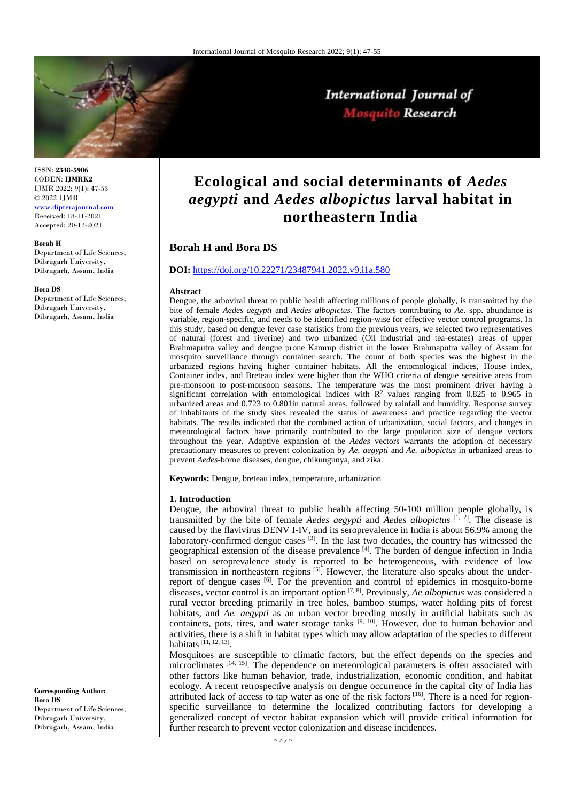

International Journal of Mosquito Research

ISSN: **2348-5906** CODEN: **IJMRK2** IJMR 2022; 9(1): 47-55 © 2022 IJMR [www.dipterajournal.com](file://server/d/Mosquito/Issue/8%20Volume/www.dipterajournal.com)

Received: 18-11-2021 Accepted: 20-12-2021

#### **Borah H**

Department of Life Sciences, Dibrugarh University, Dibrugarh, Assam, India

#### **Bora DS**

Department of Life Sciences, Dibrugarh University, Dibrugarh, Assam, India

**Ecological and social determinants of** *Aedes aegypti* **and** *Aedes albopictus* **larval habitat in northeastern India**

# **Borah H and Bora DS**

## **DOI:** <https://doi.org/10.22271/23487941.2022.v9.i1a.580>

#### **Abstract**

Dengue, the arboviral threat to public health affecting millions of people globally, is transmitted by the bite of female *Aedes aegypti* and *Aedes albopictus*. The factors contributing to *Ae.* spp. abundance is variable, region-specific, and needs to be identified region-wise for effective vector control programs. In this study, based on dengue fever case statistics from the previous years, we selected two representatives of natural (forest and riverine) and two urbanized (Oil industrial and tea-estates) areas of upper Brahmaputra valley and dengue prone Kamrup district in the lower Brahmaputra valley of Assam for mosquito surveillance through container search. The count of both species was the highest in the urbanized regions having higher container habitats. All the entomological indices, House index, Container index, and Breteau index were higher than the WHO criteria of dengue sensitive areas from pre-monsoon to post-monsoon seasons. The temperature was the most prominent driver having a significant correlation with entomological indices with  $R^2$  values ranging from 0.825 to 0.965 in urbanized areas and 0.723 to 0.801in natural areas, followed by rainfall and humidity. Response survey of inhabitants of the study sites revealed the status of awareness and practice regarding the vector habitats. The results indicated that the combined action of urbanization, social factors, and changes in meteorological factors have primarily contributed to the large population size of dengue vectors throughout the year. Adaptive expansion of the *Aedes* vectors warrants the adoption of necessary precautionary measures to prevent colonization by *Ae. aegypti* and *Ae. albopictus* in urbanized areas to prevent *Aedes*-borne diseases, dengue, chikungunya, and zika.

**Keywords:** Dengue, breteau index, temperature, urbanization

#### **1. Introduction**

Dengue, the arboviral threat to public health affecting 50-100 million people globally, is transmitted by the bite of female *Aedes aegypti* and *Aedes albopictus* [1, 2]. The disease is caused by the flavivirus DENV I-IV, and its seroprevalence in India is about 56.9% among the laboratory-confirmed dengue cases  $[3]$ . In the last two decades, the country has witnessed the geographical extension of the disease prevalence  $[4]$ . The burden of dengue infection in India based on seroprevalence study is reported to be heterogeneous, with evidence of low transmission in northeastern regions  $[5]$ . However, the literature also speaks about the underreport of dengue cases [6]. For the prevention and control of epidemics in mosquito-borne diseases, vector control is an important option [7, 8]. Previously, *Ae albopictus* was considered a rural vector breeding primarily in tree holes, bamboo stumps, water holding pits of forest habitats, and *Ae. aegypti* as an urban vector breeding mostly in artificial habitats such as containers, pots, tires, and water storage tanks  $[9, 10]$ . However, due to human behavior and activities, there is a shift in habitat types which may allow adaptation of the species to different habitats<sup>[11, 12, 13]</sup>.

Mosquitoes are susceptible to climatic factors, but the effect depends on the species and microclimates  $[14, 15]$ . The dependence on meteorological parameters is often associated with other factors like human behavior, trade, industrialization, economic condition, and habitat ecology. A recent retrospective analysis on dengue occurrence in the capital city of India has attributed lack of access to tap water as one of the risk factors [16]. There is a need for regionspecific surveillance to determine the localized contributing factors for developing a generalized concept of vector habitat expansion which will provide critical information for further research to prevent vector colonization and disease incidences.

**Corresponding Author: Bora DS** Department of Life Sciences, Dibrugarh University, Dibrugarh, Assam, India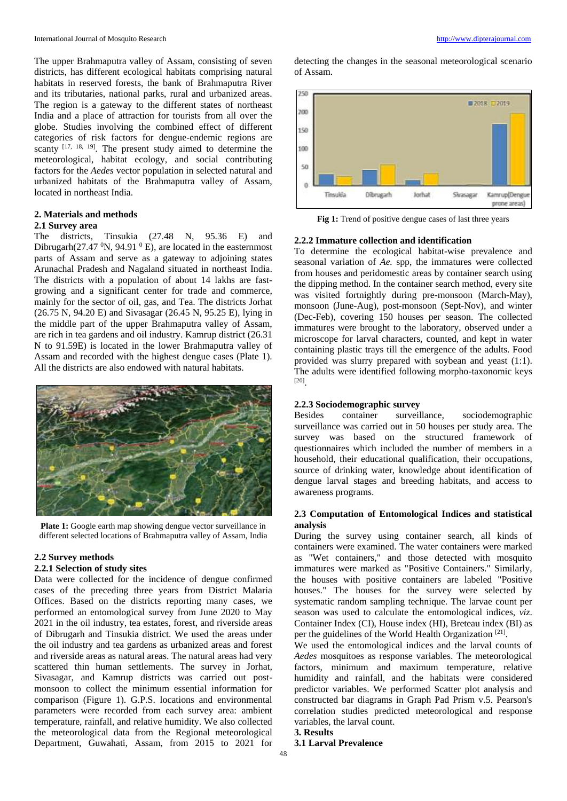The upper Brahmaputra valley of Assam, consisting of seven districts, has different ecological habitats comprising natural habitats in reserved forests, the bank of Brahmaputra River and its tributaries, national parks, rural and urbanized areas. The region is a gateway to the different states of northeast India and a place of attraction for tourists from all over the globe. Studies involving the combined effect of different categories of risk factors for dengue-endemic regions are scanty  $[17, 18, 19]$ . The present study aimed to determine the meteorological, habitat ecology, and social contributing factors for the *Aedes* vector population in selected natural and urbanized habitats of the Brahmaputra valley of Assam, located in northeast India.

# **2. Materials and methods 2.1 Survey area**

The districts, Tinsukia (27.48 N, 95.36 E) and Dibrugarh $(27.47 \text{ }^0N, 94.91 \text{ }^0E)$ , are located in the easternmost parts of Assam and serve as a gateway to adjoining states Arunachal Pradesh and Nagaland situated in northeast India. The districts with a population of about 14 lakhs are fastgrowing and a significant center for trade and commerce, mainly for the sector of oil, gas, and Tea. The districts Jorhat (26.75 N, 94.20 E) and Sivasagar (26.45 N, 95.25 E), lying in the middle part of the upper Brahmaputra valley of Assam, are rich in tea gardens and oil industry. Kamrup district (26.31 N to 91.59E) is located in the lower Brahmaputra valley of Assam and recorded with the highest dengue cases (Plate 1). All the districts are also endowed with natural habitats.



**Plate 1:** Google earth map showing dengue vector surveillance in different selected locations of Brahmaputra valley of Assam, India

# **2.2 Survey methods**

# **2.2.1 Selection of study sites**

Data were collected for the incidence of dengue confirmed cases of the preceding three years from District Malaria Offices. Based on the districts reporting many cases, we performed an entomological survey from June 2020 to May 2021 in the oil industry, tea estates, forest, and riverside areas of Dibrugarh and Tinsukia district. We used the areas under the oil industry and tea gardens as urbanized areas and forest and riverside areas as natural areas. The natural areas had very scattered thin human settlements. The survey in Jorhat, Sivasagar, and Kamrup districts was carried out postmonsoon to collect the minimum essential information for comparison (Figure 1). G.P.S. locations and environmental parameters were recorded from each survey area: ambient temperature, rainfall, and relative humidity. We also collected the meteorological data from the Regional meteorological Department, Guwahati, Assam, from 2015 to 2021 for

detecting the changes in the seasonal meteorological scenario of Assam.



Fig 1: Trend of positive dengue cases of last three years

## **2.2.2 Immature collection and identification**

To determine the ecological habitat-wise prevalence and seasonal variation of *Ae.* spp, the immatures were collected from houses and peridomestic areas by container search using the dipping method. In the container search method, every site was visited fortnightly during pre-monsoon (March-May), monsoon (June-Aug), post-monsoon (Sept-Nov), and winter (Dec-Feb), covering 150 houses per season. The collected immatures were brought to the laboratory, observed under a microscope for larval characters, counted, and kept in water containing plastic trays till the emergence of the adults. Food provided was slurry prepared with soybean and yeast (1:1). The adults were identified following morpho-taxonomic keys [20] .

### **2.2.3 Sociodemographic survey**

Besides container surveillance, sociodemographic surveillance was carried out in 50 houses per study area. The survey was based on the structured framework of questionnaires which included the number of members in a household, their educational qualification, their occupations, source of drinking water, knowledge about identification of dengue larval stages and breeding habitats, and access to awareness programs.

## **2.3 Computation of Entomological Indices and statistical analysis**

During the survey using container search, all kinds of containers were examined. The water containers were marked as "Wet containers," and those detected with mosquito immatures were marked as "Positive Containers." Similarly, the houses with positive containers are labeled "Positive houses." The houses for the survey were selected by systematic random sampling technique. The larvae count per season was used to calculate the entomological indices, *viz*. Container Index (CI), House index (HI), Breteau index (BI) as per the guidelines of the World Health Organization<sup>[21]</sup>.

We used the entomological indices and the larval counts of *Aedes* mosquitoes as response variables. The meteorological factors, minimum and maximum temperature, relative humidity and rainfall, and the habitats were considered predictor variables. We performed Scatter plot analysis and constructed bar diagrams in Graph Pad Prism v.5. Pearson's correlation studies predicted meteorological and response variables, the larval count. **3. Results**

## **3.1 Larval Prevalence**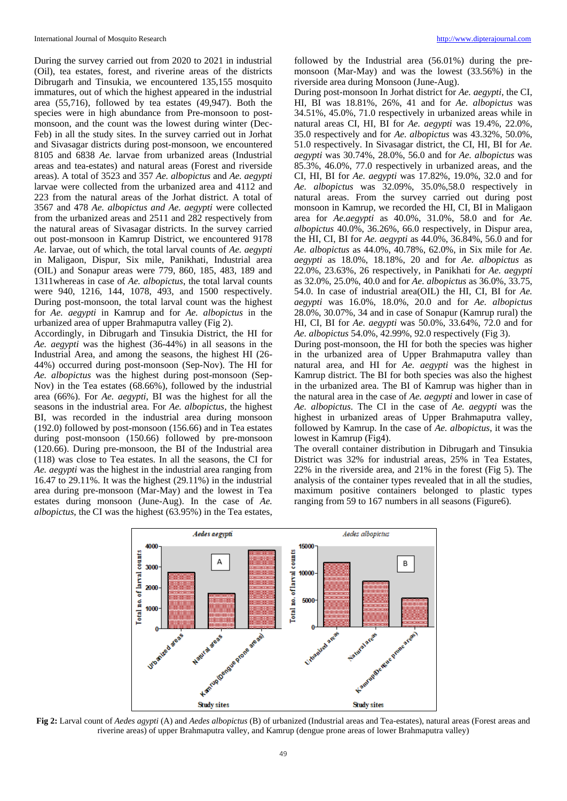During the survey carried out from 2020 to 2021 in industrial (Oil), tea estates, forest, and riverine areas of the districts Dibrugarh and Tinsukia, we encountered 135,155 mosquito immatures, out of which the highest appeared in the industrial area (55,716), followed by tea estates (49,947). Both the species were in high abundance from Pre-monsoon to postmonsoon, and the count was the lowest during winter (Dec-Feb) in all the study sites. In the survey carried out in Jorhat and Sivasagar districts during post-monsoon, we encountered 8105 and 6838 *Ae.* larvae from urbanized areas (Industrial areas and tea-estates) and natural areas (Forest and riverside areas). A total of 3523 and 357 *Ae. albopictus* and *Ae. aegypti*  larvae were collected from the urbanized area and 4112 and 223 from the natural areas of the Jorhat district. A total of 3567 and 478 *Ae. albopictus and Ae. aegypti* were collected from the urbanized areas and 2511 and 282 respectively from the natural areas of Sivasagar districts. In the survey carried out post-monsoon in Kamrup District, we encountered 9178 *Ae*. larvae, out of which, the total larval counts of *Ae. aegypti* in Maligaon, Dispur, Six mile, Panikhati, Industrial area (OIL) and Sonapur areas were 779, 860, 185, 483, 189 and 1311whereas in case of *Ae. albopictus*, the total larval counts were 940, 1216, 144, 1078, 493, and 1500 respectively. During post-monsoon, the total larval count was the highest for *Ae. aegypti* in Kamrup and for *Ae. albopictus* in the urbanized area of upper Brahmaputra valley (Fig 2).

Accordingly, in Dibrugarh and Tinsukia District, the HI for *Ae. aegypti* was the highest (36-44%) in all seasons in the Industrial Area, and among the seasons, the highest HI (26- 44%) occurred during post-monsoon (Sep-Nov). The HI for *Ae. albopictus* was the highest during post-monsoon (Sep-Nov) in the Tea estates (68.66%), followed by the industrial area (66%). For *Ae. aegypti*, BI was the highest for all the seasons in the industrial area. For *Ae. albopictus*, the highest BI, was recorded in the industrial area during monsoon (192.0) followed by post-monsoon (156.66) and in Tea estates during post-monsoon (150.66) followed by pre-monsoon (120.66). During pre-monsoon, the BI of the Industrial area (118) was close to Tea estates. In all the seasons, the CI for *Ae. aegypti* was the highest in the industrial area ranging from 16.47 to 29.11%. It was the highest (29.11%) in the industrial area during pre-monsoon (Mar-May) and the lowest in Tea estates during monsoon (June-Aug). In the case of *Ae. albopictus*, the CI was the highest (63.95%) in the Tea estates,

followed by the Industrial area (56.01%) during the premonsoon (Mar-May) and was the lowest (33.56%) in the riverside area during Monsoon (June-Aug).

During post-monsoon In Jorhat district for *Ae. aegypti*, the CI, HI, BI was 18.81%, 26%, 41 and for *Ae. albopictus* was 34.51%, 45.0%, 71.0 respectively in urbanized areas while in natural areas CI, HI, BI for *Ae. aegypti* was 19.4%, 22.0%, 35.0 respectively and for *Ae. albopictus* was 43.32%, 50.0%, 51.0 respectively. In Sivasagar district, the CI, HI, BI for *Ae. aegypti* was 30.74%, 28.0%, 56.0 and for *Ae. albopictus* was 85.3%, 46.0%, 77.0 respectively in urbanized areas, and the CI, HI, BI for *Ae. aegypti* was 17.82%, 19.0%, 32.0 and for *Ae. albopictus* was 32.09%, 35.0%,58.0 respectively in natural areas. From the survey carried out during post monsoon in Kamrup, we recorded the HI, CI, BI in Maligaon area for *Ae.aegypti* as 40.0%, 31.0%, 58.0 and for *Ae. albopictus* 40.0%, 36.26%, 66.0 respectively, in Dispur area, the HI, CI, BI for *Ae. aegypti* as 44.0%, 36.84%, 56.0 and for *Ae. albopictus* as 44.0%, 40.78%, 62.0%, in Six mile for *Ae. aegypti* as 18.0%, 18.18%, 20 and for *Ae. albopictus* as 22.0%, 23.63%, 26 respectively, in Panikhati for *Ae. aegypti* as 32.0%, 25.0%, 40.0 and for *Ae. albopictus* as 36.0%, 33.75, 54.0. In case of industrial area(OIL) the HI, CI, BI for *Ae. aegypti* was 16.0%, 18.0%, 20.0 and for *Ae. albopictus*  28.0%, 30.07%, 34 and in case of Sonapur (Kamrup rural) the HI, CI, BI for *Ae. aegypti* was 50.0%, 33.64%, 72.0 and for *Ae. albopictus* 54.0%, 42.99%, 92.0 respectively (Fig 3).

During post-monsoon, the HI for both the species was higher in the urbanized area of Upper Brahmaputra valley than natural area, and HI for *Ae. aegypti* was the highest in Kamrup district. The BI for both species was also the highest in the urbanized area. The BI of Kamrup was higher than in the natural area in the case of *Ae. aegypti* and lower in case of *Ae. albopictus*. The CI in the case of *Ae. aegypti* was the highest in urbanized areas of Upper Brahmaputra valley, followed by Kamrup. In the case of *Ae. albopictus*, it was the lowest in Kamrup (Fig4).

The overall container distribution in Dibrugarh and Tinsukia District was 32% for industrial areas, 25% in Tea Estates, 22% in the riverside area, and 21% in the forest (Fig 5). The analysis of the container types revealed that in all the studies, maximum positive containers belonged to plastic types ranging from 59 to 167 numbers in all seasons (Figure6).



**Fig 2:** Larval count of *Aedes agypti* (A) and *Aedes albopictus* (B) of urbanized (Industrial areas and Tea-estates), natural areas (Forest areas and riverine areas) of upper Brahmaputra valley, and Kamrup (dengue prone areas of lower Brahmaputra valley)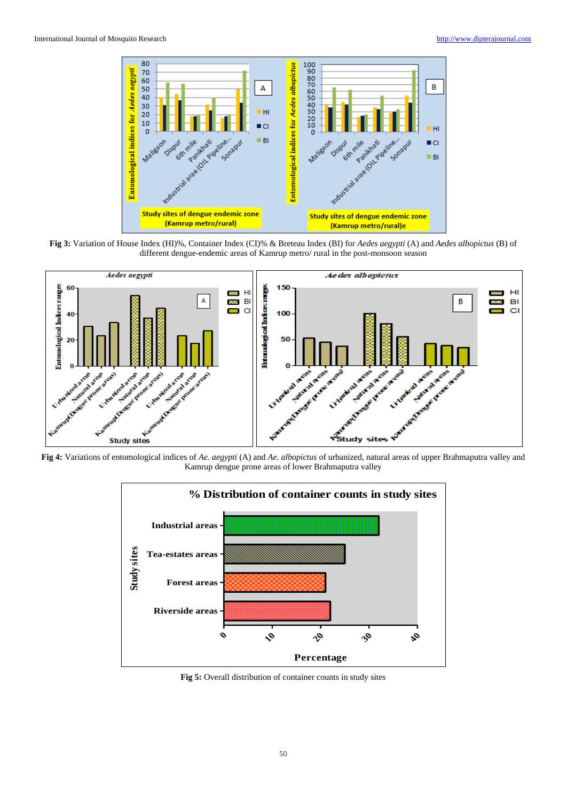

**Fig 3:** Variation of House Index (HI)%, Container Index (CI)% & Breteau Index (BI) for *Aedes aegypti* (A) and *Aedes albopictus* (B) of different dengue-endemic areas of Kamrup metro/ rural in the post-monsoon season



Kamrup dengue prone areas of lower Brahmaputra valley



**Fig 5:** Overall distribution of container counts in study sites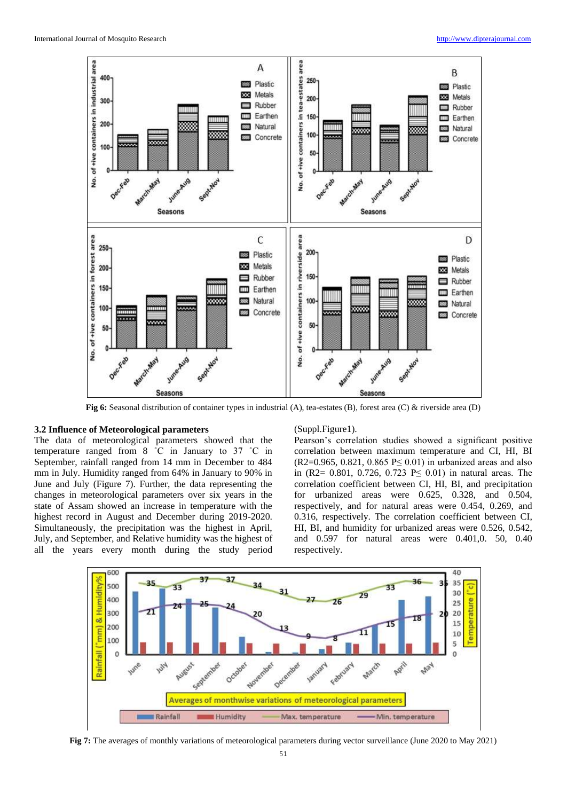

**Fig 6:** Seasonal distribution of container types in industrial (A), tea-estates (B), forest area (C) & riverside area (D)

### **3.2 Influence of Meteorological parameters**

The data of meteorological parameters showed that the temperature ranged from 8 ˚C in January to 37 ˚C in September, rainfall ranged from 14 mm in December to 484 mm in July. Humidity ranged from 64% in January to 90% in June and July (Figure 7). Further, the data representing the changes in meteorological parameters over six years in the state of Assam showed an increase in temperature with the highest record in August and December during 2019-2020. Simultaneously, the precipitation was the highest in April, July, and September, and Relative humidity was the highest of all the years every month during the study period

#### (Suppl.Figure1).

Pearson's correlation studies showed a significant positive correlation between maximum temperature and CI, HI, BI  $(R2=0.965, 0.821, 0.865 \text{ P} \le 0.01)$  in urbanized areas and also in (R2= 0.801, 0.726, 0.723 P≤ 0.01) in natural areas. The correlation coefficient between CI, HI, BI, and precipitation for urbanized areas were 0.625, 0.328, and 0.504, respectively, and for natural areas were 0.454, 0.269, and 0.316, respectively. The correlation coefficient between CI, HI, BI, and humidity for urbanized areas were 0.526, 0.542, and 0.597 for natural areas were 0.401,0. 50, 0.40 respectively.



**Fig 7:** The averages of monthly variations of meteorological parameters during vector surveillance (June 2020 to May 2021)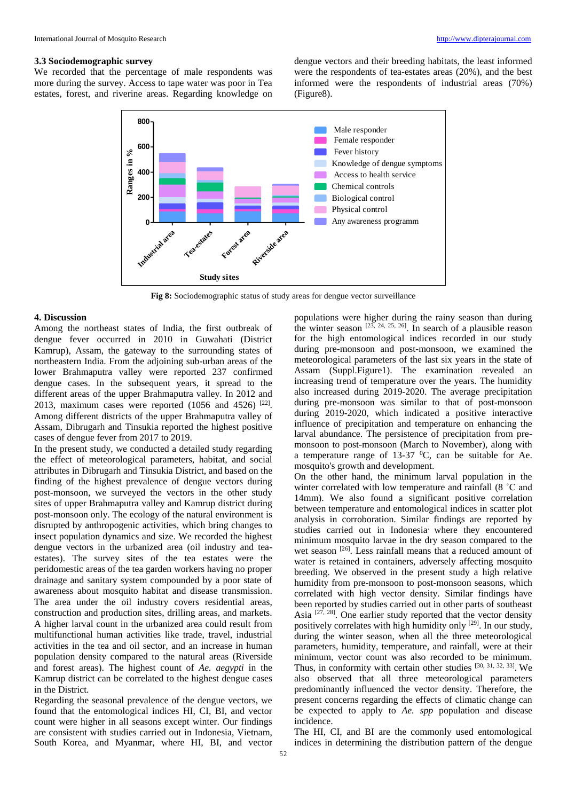## **3.3 Sociodemographic survey**

We recorded that the percentage of male respondents was more during the survey. Access to tape water was poor in Tea estates, forest, and riverine areas. Regarding knowledge on dengue vectors and their breeding habitats, the least informed were the respondents of tea-estates areas (20%), and the best informed were the respondents of industrial areas (70%) (Figure8).



**Fig 8:** Sociodemographic status of study areas for dengue vector surveillance

### **4. Discussion**

Among the northeast states of India, the first outbreak of dengue fever occurred in 2010 in Guwahati (District Kamrup), Assam, the gateway to the surrounding states of northeastern India. From the adjoining sub-urban areas of the lower Brahmaputra valley were reported 237 confirmed dengue cases. In the subsequent years, it spread to the different areas of the upper Brahmaputra valley. In 2012 and 2013, maximum cases were reported  $(1056 \text{ and } 4526)^{22}]$ . Among different districts of the upper Brahmaputra valley of Assam, Dibrugarh and Tinsukia reported the highest positive cases of dengue fever from 2017 to 2019.

In the present study, we conducted a detailed study regarding the effect of meteorological parameters, habitat, and social attributes in Dibrugarh and Tinsukia District, and based on the finding of the highest prevalence of dengue vectors during post-monsoon, we surveyed the vectors in the other study sites of upper Brahmaputra valley and Kamrup district during post-monsoon only. The ecology of the natural environment is disrupted by anthropogenic activities, which bring changes to insect population dynamics and size. We recorded the highest dengue vectors in the urbanized area (oil industry and teaestates). The survey sites of the tea estates were the peridomestic areas of the tea garden workers having no proper drainage and sanitary system compounded by a poor state of awareness about mosquito habitat and disease transmission. The area under the oil industry covers residential areas, construction and production sites, drilling areas, and markets. A higher larval count in the urbanized area could result from multifunctional human activities like trade, travel, industrial activities in the tea and oil sector, and an increase in human population density compared to the natural areas (Riverside and forest areas). The highest count of *Ae. aegypti* in the Kamrup district can be correlated to the highest dengue cases in the District.

Regarding the seasonal prevalence of the dengue vectors, we found that the entomological indices HI, CI, BI, and vector count were higher in all seasons except winter. Our findings are consistent with studies carried out in Indonesia, Vietnam, South Korea, and Myanmar, where HI, BI, and vector

populations were higher during the rainy season than during the winter season  $[23, 24, 25, 26]$ . In search of a plausible reason for the high entomological indices recorded in our study during pre-monsoon and post-monsoon, we examined the meteorological parameters of the last six years in the state of Assam (Suppl.Figure1). The examination revealed an increasing trend of temperature over the years. The humidity also increased during 2019-2020. The average precipitation during pre-monsoon was similar to that of post-monsoon during 2019-2020, which indicated a positive interactive influence of precipitation and temperature on enhancing the larval abundance. The persistence of precipitation from premonsoon to post-monsoon (March to November), along with a temperature range of  $13-37$  <sup>0</sup>C, can be suitable for Ae. mosquito's growth and development.

On the other hand, the minimum larval population in the winter correlated with low temperature and rainfall (8 ˚C and 14mm). We also found a significant positive correlation between temperature and entomological indices in scatter plot analysis in corroboration. Similar findings are reported by studies carried out in Indonesia<sup>,</sup> where they encountered minimum mosquito larvae in the dry season compared to the wet season <sup>[26]</sup>. Less rainfall means that a reduced amount of water is retained in containers, adversely affecting mosquito breeding. We observed in the present study a high relative humidity from pre-monsoon to post-monsoon seasons, which correlated with high vector density. Similar findings have been reported by studies carried out in other parts of southeast Asia  $[27, 28]$ . One earlier study reported that the vector density positively correlates with high humidity only  $[29]$ . In our study, during the winter season, when all the three meteorological parameters, humidity, temperature, and rainfall, were at their minimum, vector count was also recorded to be minimum. Thus, in conformity with certain other studies [30, 31, 32, 33]. We also observed that all three meteorological parameters predominantly influenced the vector density. Therefore, the present concerns regarding the effects of climatic change can be expected to apply to *Ae. spp* population and disease incidence.

The HI, CI, and BI are the commonly used entomological indices in determining the distribution pattern of the dengue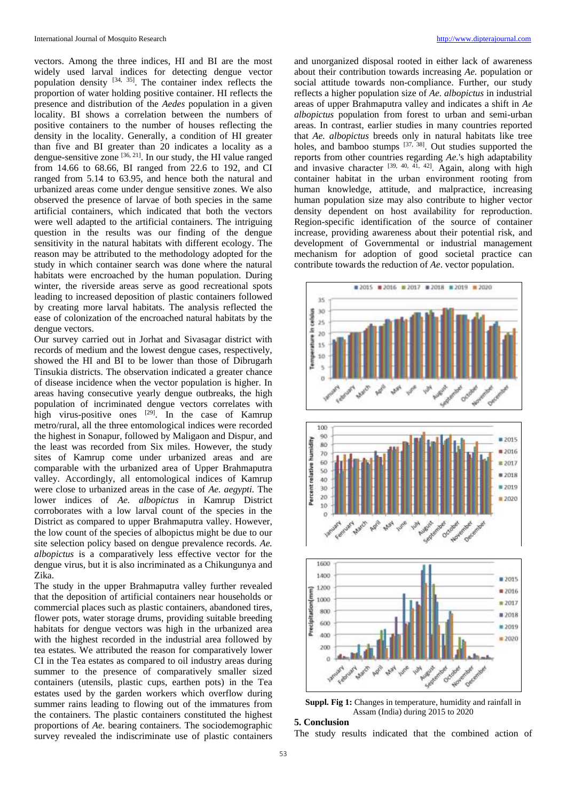vectors. Among the three indices, HI and BI are the most widely used larval indices for detecting dengue vector population density  $[34, 35]$ . The container index reflects the proportion of water holding positive container. HI reflects the presence and distribution of the *Aedes* population in a given locality. BI shows a correlation between the numbers of positive containers to the number of houses reflecting the density in the locality. Generally, a condition of HI greater than five and BI greater than 20 indicates a locality as a dengue-sensitive zone  $[36, 21]$ . In our study, the HI value ranged from 14.66 to 68.66, BI ranged from 22.6 to 192, and CI ranged from 5.14 to 63.95, and hence both the natural and urbanized areas come under dengue sensitive zones. We also observed the presence of larvae of both species in the same artificial containers, which indicated that both the vectors were well adapted to the artificial containers. The intriguing question in the results was our finding of the dengue sensitivity in the natural habitats with different ecology. The reason may be attributed to the methodology adopted for the study in which container search was done where the natural habitats were encroached by the human population. During winter, the riverside areas serve as good recreational spots leading to increased deposition of plastic containers followed by creating more larval habitats. The analysis reflected the ease of colonization of the encroached natural habitats by the dengue vectors.

Our survey carried out in Jorhat and Sivasagar district with records of medium and the lowest dengue cases, respectively, showed the HI and BI to be lower than those of Dibrugarh Tinsukia districts. The observation indicated a greater chance of disease incidence when the vector population is higher. In areas having consecutive yearly dengue outbreaks, the high population of incriminated dengue vectors correlates with high virus-positive ones [29]. In the case of Kamrup metro/rural, all the three entomological indices were recorded the highest in Sonapur, followed by Maligaon and Dispur, and the least was recorded from Six miles. However, the study sites of Kamrup come under urbanized areas and are comparable with the urbanized area of Upper Brahmaputra valley. Accordingly, all entomological indices of Kamrup were close to urbanized areas in the case of *Ae. aegypti.* The lower indices of *Ae. albopictus* in Kamrup District corroborates with a low larval count of the species in the District as compared to upper Brahmaputra valley. However, the low count of the species of albopictus might be due to our site selection policy based on dengue prevalence records. *Ae. albopictus* is a comparatively less effective vector for the dengue virus, but it is also incriminated as a Chikungunya and Zika.

The study in the upper Brahmaputra valley further revealed that the deposition of artificial containers near households or commercial places such as plastic containers, abandoned tires, flower pots, water storage drums, providing suitable breeding habitats for dengue vectors was high in the urbanized area with the highest recorded in the industrial area followed by tea estates. We attributed the reason for comparatively lower CI in the Tea estates as compared to oil industry areas during summer to the presence of comparatively smaller sized containers (utensils, plastic cups, earthen pots) in the Tea estates used by the garden workers which overflow during summer rains leading to flowing out of the immatures from the containers. The plastic containers constituted the highest proportions of *Ae.* bearing containers. The sociodemographic survey revealed the indiscriminate use of plastic containers

and unorganized disposal rooted in either lack of awareness about their contribution towards increasing *Ae.* population or social attitude towards non-compliance. Further, our study reflects a higher population size of *Ae. albopictus* in industrial areas of upper Brahmaputra valley and indicates a shift in *Ae albopictus* population from forest to urban and semi-urban areas. In contrast, earlier studies in many countries reported that *Ae. albopictus* breeds only in natural habitats like tree holes, and bamboo stumps  $[37, 38]$ . Out studies supported the reports from other countries regarding *Ae.*'s high adaptability and invasive character  $[39, 40, 41, 42]$ . Again, along with high container habitat in the urban environment rooting from human knowledge, attitude, and malpractice, increasing human population size may also contribute to higher vector density dependent on host availability for reproduction. Region-specific identification of the source of container increase, providing awareness about their potential risk, and development of Governmental or industrial management mechanism for adoption of good societal practice can contribute towards the reduction of *Ae*. vector population.



**Suppl. Fig 1:** Changes in temperature, humidity and rainfall in Assam (India) during 2015 to 2020

# **5. Conclusion**

The study results indicated that the combined action of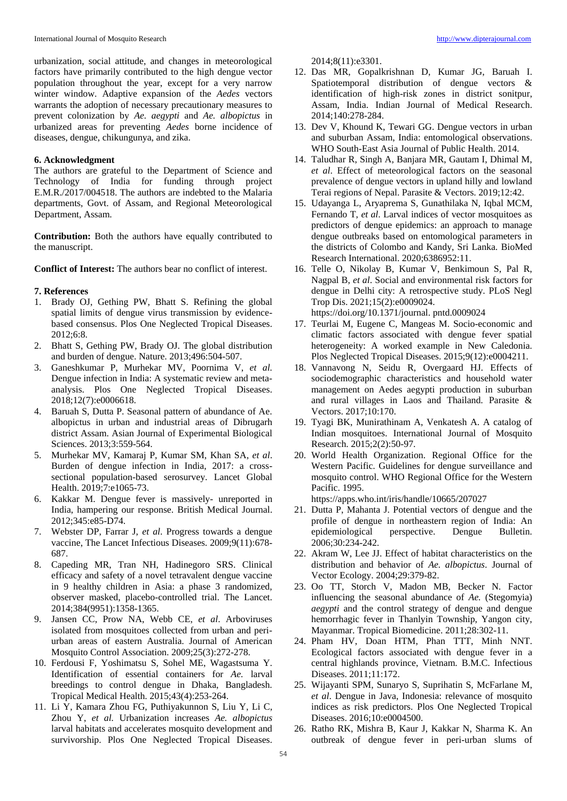urbanization, social attitude, and changes in meteorological factors have primarily contributed to the high dengue vector population throughout the year, except for a very narrow winter window. Adaptive expansion of the *Aedes* vectors warrants the adoption of necessary precautionary measures to prevent colonization by *Ae. aegypti* and *Ae. albopictus* in urbanized areas for preventing *Aedes* borne incidence of diseases, dengue, chikungunya, and zika.

## **6. Acknowledgment**

The authors are grateful to the Department of Science and Technology of India for funding through project E.M.R./2017/004518. The authors are indebted to the Malaria departments, Govt. of Assam, and Regional Meteorological Department, Assam.

**Contribution:** Both the authors have equally contributed to the manuscript.

**Conflict of Interest:** The authors bear no conflict of interest.

### **7. References**

- 1. Brady OJ, Gething PW, Bhatt S. Refining the global spatial limits of dengue virus transmission by evidencebased consensus. Plos One Neglected Tropical Diseases. 2012;6:8.
- 2. Bhatt S, Gething PW, Brady OJ. The global distribution and burden of dengue. Nature. 2013;496:504-507.
- 3. Ganeshkumar P, Murhekar MV, Poornima V, *et al.*  Dengue infection in India: A systematic review and metaanalysis. Plos One Neglected Tropical Diseases. 2018;12(7):e0006618.
- 4. Baruah S, Dutta P. Seasonal pattern of abundance of Ae. albopictus in urban and industrial areas of Dibrugarh district Assam. Asian Journal of Experimental Biological Sciences. 2013;3:559-564.
- 5. Murhekar MV, Kamaraj P, Kumar SM, Khan SA, *et al*. Burden of dengue infection in India, 2017: a crosssectional population-based serosurvey. Lancet Global Health. 2019;7:e1065-73.
- 6. Kakkar M. Dengue fever is massively- unreported in India, hampering our response. British Medical Journal. 2012;345:e85-D74.
- 7. Webster DP, Farrar J, *et al*. Progress towards a dengue vaccine, The Lancet Infectious Diseases. 2009;9(11):678- 687.
- 8. Capeding MR, Tran NH, Hadinegoro SRS. Clinical efficacy and safety of a novel tetravalent dengue vaccine in 9 healthy children in Asia: a phase 3 randomized, observer masked, placebo-controlled trial. The Lancet. 2014;384(9951):1358-1365.
- 9. Jansen CC, Prow NA, Webb CE, *et al*. Arboviruses isolated from mosquitoes collected from urban and periurban areas of eastern Australia. Journal of American Mosquito Control Association. 2009;25(3):272-278.
- 10. Ferdousi F, Yoshimatsu S, Sohel ME, Wagastsuma Y. Identification of essential containers for *Ae.* larval breedings to control dengue in Dhaka, Bangladesh. Tropical Medical Health. 2015;43(4):253-264.
- 11. Li Y, Kamara Zhou FG, Puthiyakunnon S, Liu Y, Li C, Zhou Y, *et al.* Urbanization increases *Ae. albopictus* larval habitats and accelerates mosquito development and survivorship. Plos One Neglected Tropical Diseases.

2014;8(11):e3301.

- 12. Das MR, Gopalkrishnan D, Kumar JG, Baruah I. Spatiotemporal distribution of dengue vectors & identification of high-risk zones in district sonitpur, Assam, India. Indian Journal of Medical Research. 2014;140:278-284.
- 13. Dev V, Khound K, Tewari GG. Dengue vectors in urban and suburban Assam, India: entomological observations. WHO South-East Asia Journal of Public Health. 2014.
- 14. Taludhar R, Singh A, Banjara MR, Gautam I, Dhimal M, *et al*. Effect of meteorological factors on the seasonal prevalence of dengue vectors in upland hilly and lowland Terai regions of Nepal. Parasite & Vectors. 2019;12:42.
- 15. Udayanga L, Aryaprema S, Gunathilaka N, Iqbal MCM, Fernando T, *et al*. Larval indices of vector mosquitoes as predictors of dengue epidemics: an approach to manage dengue outbreaks based on entomological parameters in the districts of Colombo and Kandy, Sri Lanka. BioMed Research International. 2020;6386952:11.
- 16. Telle O, Nikolay B, Kumar V, Benkimoun S, Pal R, Nagpal B, *et al*. Social and environmental risk factors for dengue in Delhi city: A retrospective study. PLoS Negl Trop Dis. 2021;15(2):e0009024.

https://doi.org/10.1371/journal. pntd.0009024

- 17. Teurlai M, Eugene C, Mangeas M. Socio-economic and climatic factors associated with dengue fever spatial heterogeneity: A worked example in New Caledonia. Plos Neglected Tropical Diseases. 2015;9(12):e0004211.
- 18. Vannavong N, Seidu R, Overgaard HJ. Effects of sociodemographic characteristics and household water management on Aedes aegypti production in suburban and rural villages in Laos and Thailand. Parasite & Vectors. 2017;10:170.
- 19. Tyagi BK, Munirathinam A, Venkatesh A. A catalog of Indian mosquitoes. International Journal of Mosquito Research. 2015;2(2):50-97.
- 20. World Health Organization. Regional Office for the Western Pacific. Guidelines for dengue surveillance and mosquito control. WHO Regional Office for the Western Pacific. 1995.

https://apps.who.int/iris/handle/10665/207027

- 21. Dutta P, Mahanta J. Potential vectors of dengue and the profile of dengue in northeastern region of India: An epidemiological perspective. Dengue Bulletin. 2006;30:234-242.
- 22. Akram W, Lee JJ. Effect of habitat characteristics on the distribution and behavior of *Ae. albopictus*. Journal of Vector Ecology. 2004;29:379-82.
- 23. Oo TT, Storch V, Madon MB, Becker N. Factor influencing the seasonal abundance of *Ae.* (Stegomyia) *aegypti* and the control strategy of dengue and dengue hemorrhagic fever in Thanlyin Township, Yangon city, Mayanmar. Tropical Biomedicine. 2011;28:302-11.
- 24. Pham HV, Doan HTM, Phan TTT, Minh NNT. Ecological factors associated with dengue fever in a central highlands province, Vietnam. B.M.C. Infectious Diseases. 2011;11:172.
- 25. Wijayanti SPM, Sunaryo S, Suprihatin S, McFarlane M, *et al*. Dengue in Java, Indonesia: relevance of mosquito indices as risk predictors. Plos One Neglected Tropical Diseases. 2016;10:e0004500.
- 26. Ratho RK, Mishra B, Kaur J, Kakkar N, Sharma K. An outbreak of dengue fever in peri-urban slums of